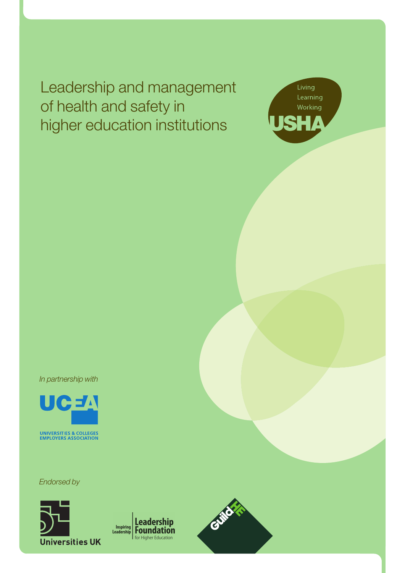Leadership and management of health and safety in higher education institutions



*In partnership with*



*Endorsed by*



Leadership Inspiring **Ecaucisipp**<br>**Foundation** for Higher Education

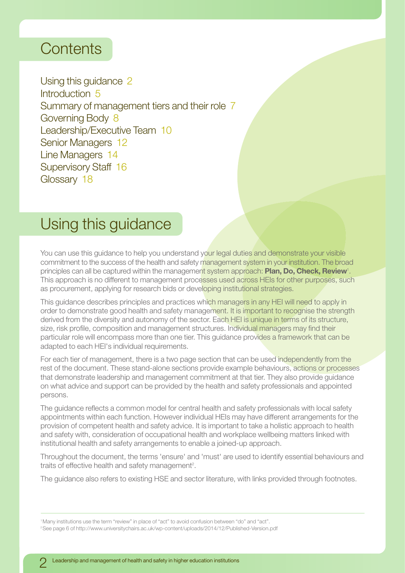# **Contents**

Using this guidance 2 Introduction 5 Summary of management tiers and their role 7 Governing Body 8 Leadership/Executive Team 10 Senior Managers 12 Line Managers 14 Supervisory Staff 16 Glossary 18

# Using this guidance

You can use this guidance to help you understand your legal duties and demonstrate your visible commitment to the success of the health and safety management system in your institution. The broad principles can all be captured within the management system approach: **Plan, Do, Check, Review**<sup>1</sup> . This approach is no different to management processes used across HEIs for other purposes, such as procurement, applying for research bids or developing institutional strategies.

This guidance describes principles and practices which managers in any HEI will need to apply in order to demonstrate good health and safety management. It is important to recognise the strength derived from the diversity and autonomy of the sector. Each HEI is unique in terms of its structure, size, risk profile, composition and management structures. Individual managers may find their particular role will encompass more than one tier. This guidance provides a framework that can be adapted to each HEI's individual requirements.

For each tier of management, there is a two page section that can be used independently from the rest of the document. These stand-alone sections provide example behaviours, actions or processes that demonstrate leadership and management commitment at that tier. They also provide guidance on what advice and support can be provided by the health and safety professionals and appointed persons.

The guidance reflects a common model for central health and safety professionals with local safety appointments within each function. However individual HEIs may have different arrangements for the provision of competent health and safety advice. It is important to take a holistic approach to health and safety with, consideration of occupational health and workplace wellbeing matters linked with institutional health and safety arrangements to enable a joined-up approach.

Throughout the document, the terms 'ensure' and 'must' are used to identify essential behaviours and traits of effective health and safety management<sup>2</sup>.

The guidance also refers to existing HSE and sector literature, with links provided through footnotes.

1 Many institutions use the term "review" in place of "act" to avoid confusion between "do" and "act".

2 See page 6 of http://www.universitychairs.ac.uk/wp-content/uploads/2014/12/Published-Version.pdf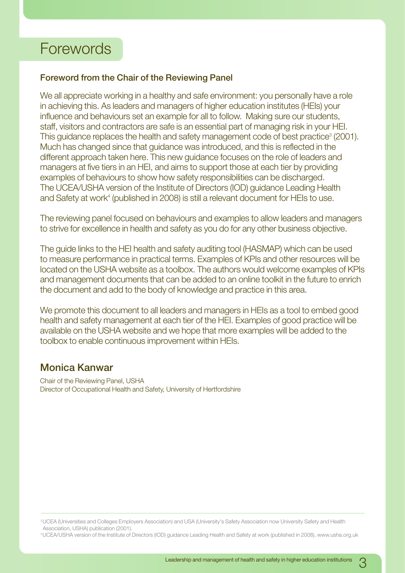# Forewords

## **Foreword from the Chair of the Reviewing Panel**

We all appreciate working in a healthy and safe environment: you personally have a role in achieving this. As leaders and managers of higher education institutes (HEIs) your influence and behaviours set an example for all to follow. Making sure our students, staff, visitors and contractors are safe is an essential part of managing risk in your HEI. This guidance replaces the health and safety management code of best practice<sup>3</sup> (2001). Much has changed since that guidance was introduced, and this is reflected in the different approach taken here. This new guidance focuses on the role of leaders and managers at five tiers in an HEI, and aims to support those at each tier by providing examples of behaviours to show how safety responsibilities can be discharged. The UCEA/USHA version of the Institute of Directors (IOD) guidance Leading Health and Safety at work<sup>4</sup> (published in 2008) is still a relevant document for HEIs to use.

The reviewing panel focused on behaviours and examples to allow leaders and managers to strive for excellence in health and safety as you do for any other business objective.

The guide links to the HEI health and safety auditing tool (HASMAP) which can be used to measure performance in practical terms. Examples of KPIs and other resources will be located on the USHA website as a toolbox. The authors would welcome examples of KPIs and management documents that can be added to an online toolkit in the future to enrich the document and add to the body of knowledge and practice in this area.

We promote this document to all leaders and managers in HEIs as a tool to embed good health and safety management at each tier of the HEI. Examples of good practice will be available on the USHA website and we hope that more examples will be added to the toolbox to enable continuous improvement within HEIs.

## **Monica Kanwar**

Chair of the Reviewing Panel, USHA Director of Occupational Health and Safety, University of Hertfordshire

<sup>3</sup> UCEA (Universities and Colleges Employers Association) and USA (University's Safety Association now University Safety and Health Association, USHA) publication (2001).

4 UCEA/USHA version of the Institute of Directors (IOD) guidance Leading Health and Safety at work (published in 2008), www.usha.org.uk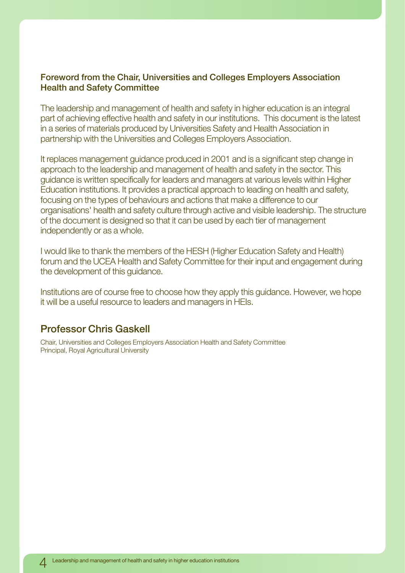## **Foreword from the Chair, Universities and Colleges Employers Association Health and Safety Committee**

The leadership and management of health and safety in higher education is an integral part of achieving effective health and safety in our institutions. This document is the latest in a series of materials produced by Universities Safety and Health Association in partnership with the Universities and Colleges Employers Association.

It replaces management guidance produced in 2001 and is a significant step change in approach to the leadership and management of health and safety in the sector. This guidance is written specifically for leaders and managers at various levels within Higher Education institutions. It provides a practical approach to leading on health and safety, focusing on the types of behaviours and actions that make a difference to our organisations' health and safety culture through active and visible leadership. The structure of the document is designed so that it can be used by each tier of management independently or as a whole.

I would like to thank the members of the HESH (Higher Education Safety and Health) forum and the UCEA Health and Safety Committee for their input and engagement during the development of this guidance.

Institutions are of course free to choose how they apply this guidance. However, we hope it will be a useful resource to leaders and managers in HEIs.

## **Professor Chris Gaskell**

Chair, Universities and Colleges Employers Association Health and Safety Committee Principal, Royal Agricultural University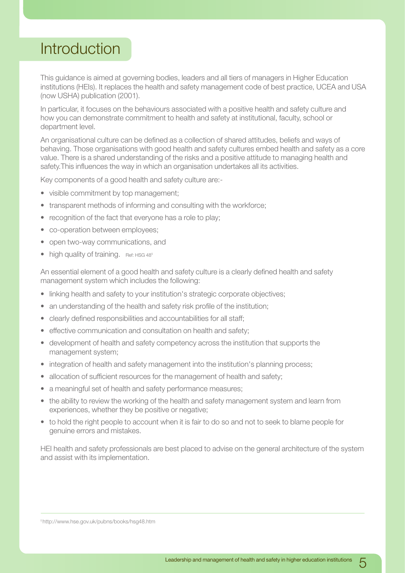# Introduction

This guidance is aimed at governing bodies, leaders and all tiers of managers in Higher Education institutions (HEIs). It replaces the health and safety management code of best practice, UCEA and USA (now USHA) publication (2001).

In particular, it focuses on the behaviours associated with a positive health and safety culture and how you can demonstrate commitment to health and safety at institutional, faculty, school or department level.

An organisational culture can be defined as a collection of shared attitudes, beliefs and ways of behaving. Those organisations with good health and safety cultures embed health and safety as a core value. There is a shared understanding of the risks and a positive attitude to managing health and safety.This influences the way in which an organisation undertakes all its activities.

Key components of a good health and safety culture are:-

- visible commitment by top management;
- transparent methods of informing and consulting with the workforce;
- recognition of the fact that everyone has a role to play;
- co-operation between employees:
- open two-way communications, and
- $\bullet$  high quality of training. Ref: HSG 48<sup>5</sup>

An essential element of a good health and safety culture is a clearly defined health and safety management system which includes the following:

- linking health and safety to your institution's strategic corporate objectives;
- an understanding of the health and safety risk profile of the institution;
- clearly defined responsibilities and accountabilities for all staff;
- effective communication and consultation on health and safety;
- development of health and safety competency across the institution that supports the management system;
- integration of health and safety management into the institution's planning process;
- allocation of sufficient resources for the management of health and safety;
- a meaningful set of health and safety performance measures;
- the ability to review the working of the health and safety management system and learn from experiences, whether they be positive or negative;
- to hold the right people to account when it is fair to do so and not to seek to blame people for genuine errors and mistakes.

HEI health and safety professionals are best placed to advise on the general architecture of the system and assist with its implementation.

#### 5 http://www.hse.gov.uk/pubns/books/hsg48.htm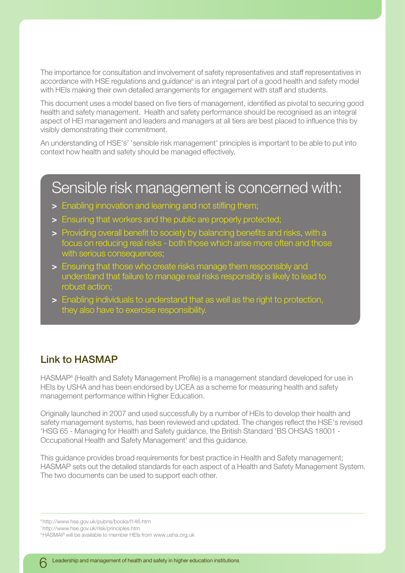The importance for consultation and involvement of safety representatives and staff representatives in accordance with HSE regulations and guidance<sup>6</sup> is an integral part of a good health and safety model with HEIs making their own detailed arrangements for engagement with staff and students.

This document uses a model based on five tiers of management, identified as pivotal to securing good health and safety management. Health and safety performance should be recognised as an integral aspect of HEI management and leaders and managers at all tiers are best placed to influence this by visibly demonstrating their commitment.

An understanding of HSE's<sup>7</sup> 'sensible risk management' principles is important to be able to put into context how health and safety should be managed effectively.

# Sensible risk management is concerned with:

- **>** Enabling innovation and learning and not stifling them;
- **>** Ensuring that workers and the public are properly protected;
- **>** Providing overall benefit to society by balancing benefits and risks, with a focus on reducing real risks - both those which arise more often and those with serious consequences
- **>** Ensuring that those who create risks manage them responsibly and understand that failure to manage real risks responsibly is likely to lead to robust action;
- **>** Enabling individuals to understand that as well as the right to protection, they also have to exercise responsibility.

## **Link to HASMAP**

HASMAP8 (Health and Safety Management Profile) is a management standard developed for use in HEIs by USHA and has been endorsed by UCEA as a scheme for measuring health and safety management performance within Higher Education.

Originally launched in 2007 and used successfully by a number of HEIs to develop their health and safety management systems, has been reviewed and updated. The changes reflect the HSE's revised 'HSG 65 - Managing for Health and Safety guidance, the British Standard 'BS OHSAS 18001 - Occupational Health and Safety Management' and this guidance.

This guidance provides broad requirements for best practice in Health and Safety management; HASMAP sets out the detailed standards for each aspect of a Health and Safety Management System. The two documents can be used to support each other.

6 http://www.hse.gov.uk/pubns/books/l146.htm

<sup>7</sup> http://www.hse.gov.uk/risk/principles.htm

<sup>&</sup>lt;sup>8</sup> HASMAP will be available to member HEIs from www.usha.org.uk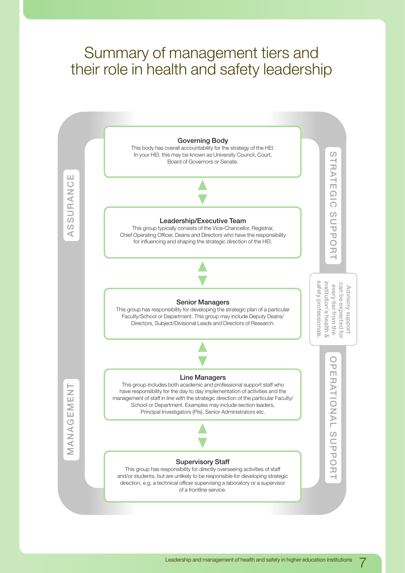# Summary of management tiers and their role in health and safety leadership

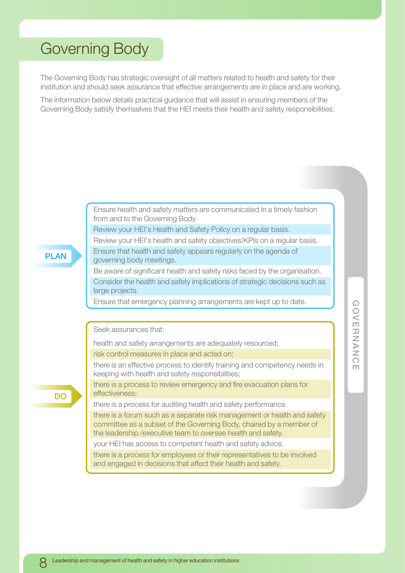# <span id="page-7-0"></span>Governing Body

The Governing Body has strategic oversight of all matters related to health and safety for their institution and should seek assurance that effective arrangements are in place and are working.

The information below details practical guidance that will assist in ensuring members of the Governing Body satisfy themselves that the HEI meets their health and safety responsibilities.

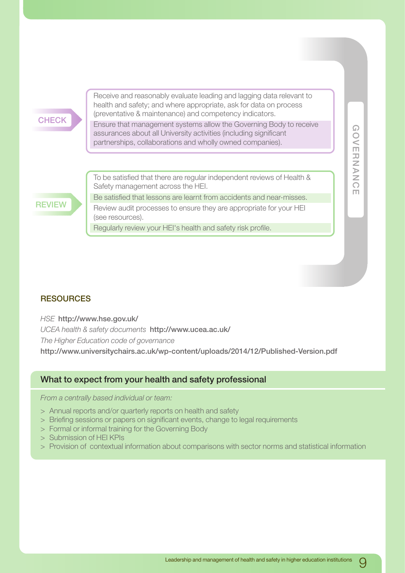# **CHECK**

Receive and reasonably evaluate leading and lagging data relevant to health and safety; and where appropriate, ask for data on process (preventative & maintenance) and competency indicators.

Ensure that management systems allow the Governing Body to receive assurances about all University activities (including significant partnerships, collaborations and wholly owned companies).

**GOVERNANCE**

OVERNANC

m

 $\Omega$ 

## **REVIEW**

To be satisfied that there are regular independent reviews of Health & Safety management across the HEI.

Be satisfied that lessons are learnt from accidents and near-misses. Review audit processes to ensure they are appropriate for your HEI (see resources).

Regularly review your HEI's health and safety risk profile.

### **RESOURCES**

*HSE* **http://www.hse.gov.uk/**

*UCEA health & safety documents* **http://www.ucea.ac.uk/** *The Higher Education code of governance*  **http://www.universitychairs.ac.uk/wp-content/uploads/2014/12/Published-Version.pdf**

## **What to expect from your health and safety professional**

*From a centrally based individual or team:*

- > Annual reports and/or quarterly reports on health and safety
- > Briefing sessions or papers on significant events, change to legal requirements
- > Formal or informal training for the Governing Body
- > Submission of HEI KPIs
- > Provision of contextual information about comparisons with sector norms and statistical information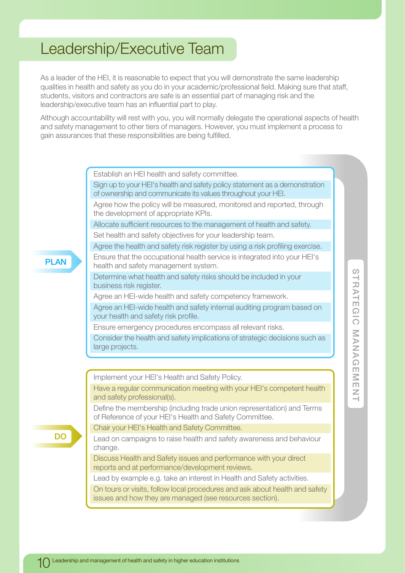# <span id="page-9-0"></span>Leadership/Executive Team

As a leader of the HEI, it is reasonable to expect that you will demonstrate the same leadership qualities in health and safety as you do in your academic/professional field. Making sure that staff, students, visitors and contractors are safe is an essential part of managing risk and the leadership/executive team has an influential part to play.

Although accountability will rest with you, you will normally delegate the operational aspects of health and safety management to other tiers of managers. However, you must implement a process to gain assurances that these responsibilities are being fulfilled.

Establish an HEI health and safety committee.

Sign up to your HEI's health and safety policy statement as a demonstration of ownership and communicate its values throughout your HEI.

Agree how the policy will be measured, monitored and reported, through the development of appropriate KPIs.

Allocate sufficient resources to the management of health and safety. Set health and safety objectives for your leadership team.

Agree the health and safety risk register by using a risk profiling exercise.

Ensure that the occupational health service is integrated into your HEI's health and safety management system.

Determine what health and safety risks should be included in your business risk register.

Agree an HEI-wide health and safety competency framework.

Agree an HEI-wide health and safety internal auditing program based on your health and safety risk profile.

Ensure emergency procedures encompass all relevant risks.

Consider the health and safety implications of strategic decisions such as large projects.

Implement your HEI's Health and Safety Policy.

Have a regular communication meeting with your HEI's competent health and safety professional(s).

Define the membership (including trade union representation) and Terms of Reference of your HEI's Health and Safety Committee.

Chair your HEI's Health and Safety Committee.

Lead on campaigns to raise health and safety awareness and behaviour change.

Discuss Health and Safety issues and performance with your direct reports and at performance/development reviews.

Lead by example e.g. take an interest in Health and Safety activities.

On tours or visits, follow local procedures and ask about health and safety issues and how they are managed (see resources section).

**DO**

**PLAN**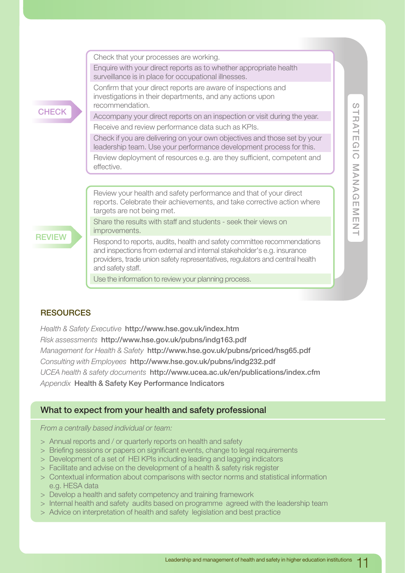

Use the information to review your planning process.

## **RESOURCES**

*Health & Safety Executive* **http://www.hse.gov.uk/index.htm** *Risk assessments* **http://www.hse.gov.uk/pubns/indg163.pdf** *Management for Health & Safety* **http://www.hse.gov.uk/pubns/priced/hsg65.pdf** *Consulting with Employees* **http://www.hse.gov.uk/pubns/indg232.pdf** *UCEA health & safety documents* **http://www.ucea.ac.uk/en/publications/index.cfm** *Appendix* **Health & Safety Key Performance Indicators**

## **What to expect from your health and safety professional**

*From a centrally based individual or team:*

- > Annual reports and / or quarterly reports on health and safety
- > Briefing sessions or papers on significant events, change to legal requirements
- > Development of a set of HEI KPIs including leading and lagging indicators
- > Facilitate and advise on the development of a health & safety risk register
- > Contextual information about comparisons with sector norms and statistical information e.g. HESA data
- > Develop a health and safety competency and training framework
- > Internal health and safety audits based on programme agreed with the leadership team
- > Advice on interpretation of health and safety legislation and best practice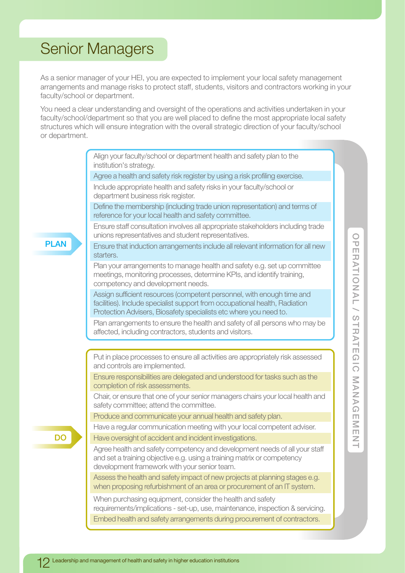# <span id="page-11-0"></span>Senior Managers

As a senior manager of your HEI, you are expected to implement your local safety management arrangements and manage risks to protect staff, students, visitors and contractors working in your faculty/school or department.

You need a clear understanding and oversight of the operations and activities undertaken in your faculty/school/department so that you are well placed to define the most appropriate local safety structures which will ensure integration with the overall strategic direction of your faculty/school or department.

**PLAN DO** Align your faculty/school or department health and safety plan to the institution's strategy. Agree a health and safety risk register by using a risk profiling exercise. Include appropriate health and safety risks in your faculty/school or department business risk register. Define the membership (including trade union representation) and terms of reference for your local health and safety committee. Ensure staff consultation involves all appropriate stakeholders including trade unions representatives and student representatives. Ensure that induction arrangements include all relevant information for all new starters. Plan your arrangements to manage health and safety e.g. set up committee meetings, monitoring processes, determine KPIs, and identify training, competency and development needs. Assign sufficient resources (competent personnel, with enough time and facilities). Include specialist support from occupational health, Radiation Protection Advisers, Biosafety specialists etc where you need to. Plan arrangements to ensure the health and safety of all persons who may be affected, including contractors, students and visitors. Put in place processes to ensure all activities are appropriately risk assessed and controls are implemented. Ensure responsibilities are delegated and understood for tasks such as the completion of risk assessments. Chair, or ensure that one of your senior managers chairs your local health and safety committee; attend the committee. Produce and communicate your annual health and safety plan. Have a regular communication meeting with your local competent adviser. Have oversight of accident and incident investigations. Agree health and safety competency and development needs of all your staff and set a training objective e.g. using a training matrix or competency development framework with your senior team. Assess the health and safety impact of new projects at planning stages e.g. when proposing refurbishment of an area or procurement of an IT system. When purchasing equipment, consider the health and safety requirements/implications - set-up, use, maintenance, inspection & servicing. Embed health and safety arrangements during procurement of contractors.

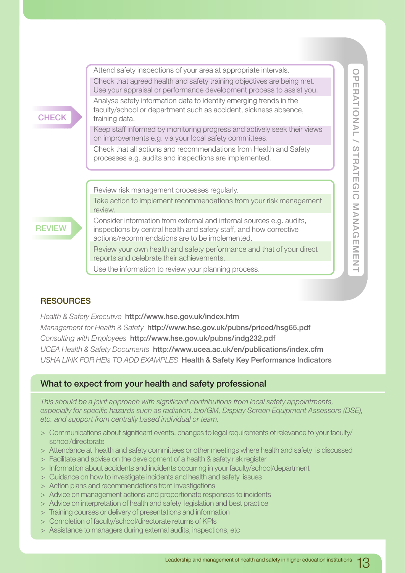

Use the information to review your planning process.

## **RESOURCES**

*Health & Safety Executive* **http://www.hse.gov.uk/index.htm** *Management for Health & Safety* **http://www.hse.gov.uk/pubns/priced/hsg65.pdf** *Consulting with Employees* **http://www.hse.gov.uk/pubns/indg232.pdf** *UCEA Health & Safety Documents* **http://www.ucea.ac.uk/en/publications/index.cfm** *USHA LINK FOR HEIs TO ADD EXAMPLES* **Health & Safety Key Performance Indicators**

## **What to expect from your health and safety professional**

*This should be a joint approach with significant contributions from local safety appointments, especially for specific hazards such as radiation, bio/GM, Display Screen Equipment Assessors (DSE), etc. and support from centrally based individual or team.*

- > Communications about significant events, changes to legal requirements of relevance to your faculty/ school/directorate
- > Attendance at health and safety committees or other meetings where health and safety is discussed
- > Facilitate and advise on the development of a health & safety risk register
- > Information about accidents and incidents occurring in your faculty/school/department
- > Guidance on how to investigate incidents and health and safety issues
- > Action plans and recommendations from investigations
- > Advice on management actions and proportionate responses to incidents
- > Advice on interpretation of health and safety legislation and best practice
- > Training courses or delivery of presentations and information
- > Completion of faculty/school/directorate returns of KPIs
- > Assistance to managers during external audits, inspections, etc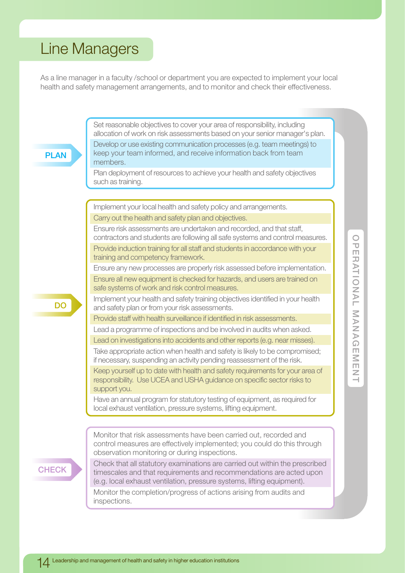# <span id="page-13-0"></span>Line Managers

As a line manager in a faculty /school or department you are expected to implement your local health and safety management arrangements, and to monitor and check their effectiveness.

**PLAN DO CHECK** Set reasonable objectives to cover your area of responsibility, including allocation of work on risk assessments based on your senior manager's plan. Develop or use existing communication processes (e.g. team meetings) to keep your team informed, and receive information back from team members. Plan deployment of resources to achieve your health and safety objectives such as training. Implement your local health and safety policy and arrangements. Carry out the health and safety plan and objectives. Ensure risk assessments are undertaken and recorded, and that staff, contractors and students are following all safe systems and control measures. Provide induction training for all staff and students in accordance with your training and competency framework. Ensure any new processes are properly risk assessed before implementation. Ensure all new equipment is checked for hazards, and users are trained on safe systems of work and risk control measures. Implement your health and safety training objectives identified in your health and safety plan or from your risk assessments. Provide staff with health surveillance if identified in risk assessments. Lead a programme of inspections and be involved in audits when asked. Lead on investigations into accidents and other reports (e.g. near misses). Take appropriate action when health and safety is likely to be compromised; if necessary, suspending an activity pending reassessment of the risk. Keep yourself up to date with health and safety requirements for your area of responsibility. Use UCEA and USHA guidance on specific sector risks to support you. Have an annual program for statutory testing of equipment, as required for local exhaust ventilation, pressure systems, lifting equipment. Monitor that risk assessments have been carried out, recorded and control measures are effectively implemented; you could do this through observation monitoring or during inspections. Check that all statutory examinations are carried out within the prescribed timescales and that requirements and recommendations are acted upon (e.g. local exhaust ventilation, pressure systems, lifting equipment). Monitor the completion/progress of actions arising from audits and inspections.

 $\frac{0}{U}$ **OPERATIONAL MANAGEMENT** ERATIONAL NANAG 市M田本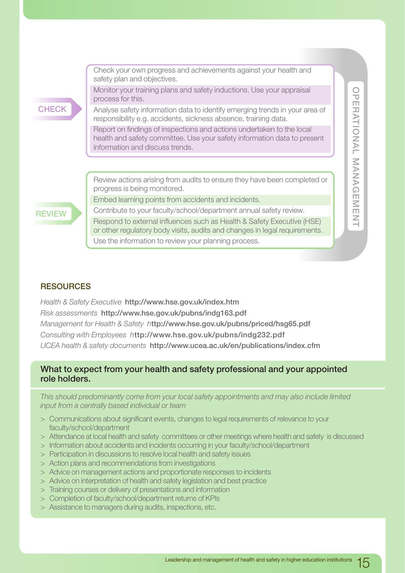**CHECK**

Check your own progress and achievements against your health and safety plan and objectives.

Monitor your training plans and safety inductions. Use your appraisal process for this.

Analyse safety information data to identify emerging trends in your area of responsibility e.g. accidents, sickness absence, training data.

Report on findings of inspections and actions undertaken to the local health and safety committee. Use your safety information data to present information and discuss trends.

Review actions arising from audits to ensure they have been completed or progress is being monitored.

Embed learning points from accidents and incidents.

**REVIEW**

Contribute to your faculty/school/department annual safety review. Respond to external influences such as Health & Safety Executive (HSE) or other regulatory body visits, audits and changes in legal requirements. Use the information to review your planning process.

 $\frac{0}{U}$ **OPERATIONAL MANAGEMENT FRATIONANANANGEMENT** 

### **RESOURCES**

*Health & Safety Executive* **http://www.hse.gov.uk/index.htm** *Risk assessments* **http://www.hse.gov.uk/pubns/indg163.pdf** *Management for Health & Safety h***ttp://www.hse.gov.uk/pubns/priced/hsg65.pdf** *Consulting with Employees h***ttp://www.hse.gov.uk/pubns/indg232.pdf** *UCEA health & safety documents* **http://www.ucea.ac.uk/en/publications/index.cfm**

## **What to expect from your health and safety professional and your appointed role holders.**

*This should predominantly come from your local safety appointments and may also include limited input from a centrally based individual or team*

- > Communications about significant events, changes to legal requirements of relevance to your faculty/school/department
- > Attendance at local health and safety committees or other meetings where health and safety is discussed
- > Information about accidents and incidents occurring in your faculty/school/department
- > Participation in discussions to resolve local health and safety issues
- > Action plans and recommendations from investigations
- > Advice on management actions and proportionate responses to incidents
- > Advice on interpretation of health and safety legislation and best practice
- > Training courses or delivery of presentations and information
- > Completion of faculty/school/department returns of KPIs
- > Assistance to managers during audits, inspections, etc.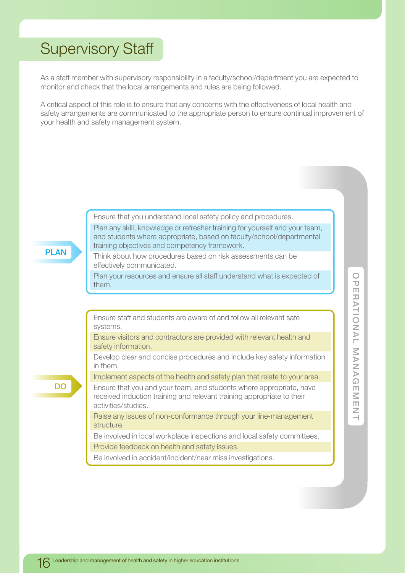# <span id="page-15-0"></span>Supervisory Staff

As a staff member with supervisory responsibility in a faculty/school/department you are expected to monitor and check that the local arrangements and rules are being followed.

A critical aspect of this role is to ensure that any concerns with the effectiveness of local health and safety arrangements are communicated to the appropriate person to ensure continual improvement of your health and safety management system.

Ensure that you understand local safety policy and procedures.

**PLAN**

**DO**

Think about how procedures based on risk assessments can be effectively communicated.

training objectives and competency framework.

Plan your resources and ensure all staff understand what is expected of them.

Plan any skill, knowledge or refresher training for yourself and your team, and students where appropriate, based on faculty/school/departmental

Ensure staff and students are aware of and follow all relevant safe systems.

Ensure visitors and contractors are provided with relevant health and safety information.

Develop clear and concise procedures and include key safety information in them.

Implement aspects of the health and safety plan that relate to your area.

Ensure that you and your team, and students where appropriate, have received induction training and relevant training appropriate to their activities/studies.

Raise any issues of non-conformance through your line-management structure.

Be involved in local workplace inspections and local safety committees. Provide feedback on health and safety issues.

Be involved in accident/incident/near miss investigations.

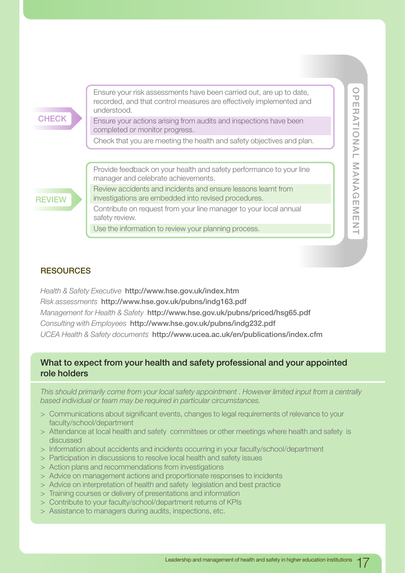Ensure your risk assessments have been carried out, are up to date, recorded, and that control measures are effectively implemented and understood.

Ensure your actions arising from audits and inspections have been completed or monitor progress.

Check that you are meeting the health and safety objectives and plan.

**REVIEW**

Provide feedback on your health and safety performance to your line manager and celebrate achievements.

Review accidents and incidents and ensure lessons learnt from investigations are embedded into revised procedures.

Contribute on request from your line manager to your local annual safety review.

Use the information to review your planning process.

## **RESOURCES**

*Health & Safety Executive* **http://www.hse.gov.uk/index.htm** *Risk assessments* **http://www.hse.gov.uk/pubns/indg163.pdf** *Management for Health & Safety* **http://www.hse.gov.uk/pubns/priced/hsg65.pdf** *Consulting with Employees* **http://www.hse.gov.uk/pubns/indg232.pdf** *UCEA Health & Safety documents* **http://www.ucea.ac.uk/en/publications/index.cfm**

## **What to expect from your health and safety professional and your appointed role holders**

*This should primarily come from your local safety appointment . However limited input from a centrally based individual or team may be required in particular circumstances.*

- > Communications about significant events, changes to legal requirements of relevance to your faculty/school/department
- > Attendance at local health and safety committees or other meetings where health and safety is discussed
- > Information about accidents and incidents occurring in your faculty/school/department
- > Participation in discussions to resolve local health and safety issues
- > Action plans and recommendations from investigations
- > Advice on management actions and proportionate responses to incidents
- > Advice on interpretation of health and safety legislation and best practice
- > Training courses or delivery of presentations and information
- > Contribute to your faculty/school/department returns of KPIs
- > Assistance to managers during audits, inspections, etc.

 $\circ$  $\overline{\mathbf{U}}$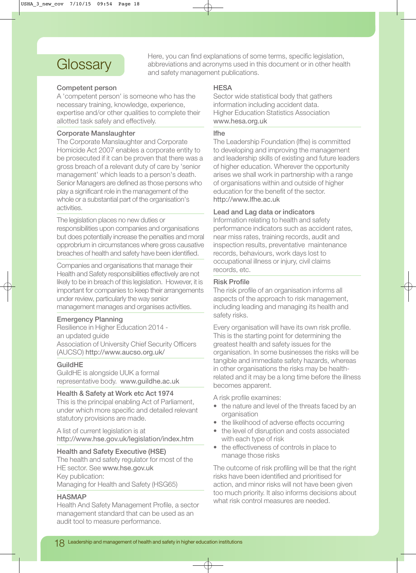# **Glossary**

Here, you can find explanations of some terms, specific legislation, abbreviations and acronyms used in this document or in other health and safety management publications.

#### **Competent person**

A 'competent person' is someone who has the necessary training, knowledge, experience, expertise and/or other qualities to complete their allotted task safely and effectively.

### **Corporate Manslaughter**

The Corporate Manslaughter and Corporate Homicide Act 2007 enables a corporate entity to be prosecuted if it can be proven that there was a gross breach of a relevant duty of care by 'senior management' which leads to a person's death. Senior Managers are defined as those persons who play a significant role in the management of the whole or a substantial part of the organisation's activities.

The legislation places no new duties or responsibilities upon companies and organisations but does potentially increase the penalties and moral opprobrium in circumstances where gross causative breaches of health and safety have been identified.

Companies and organisations that manage their Health and Safety responsibilities effectively are not likely to be in breach of this legislation. However, it is important for companies to keep their arrangements under review, particularly the way senior management manages and organises activities.

### **Emergency Planning**

Resilience in Higher Education 2014 an updated guide Association of University Chief Security Officers (AUCSO) http://www.aucso.org.uk/

#### **GuildHE**

GuildHE is alongside UUK a formal representative body. www.guildhe.ac.uk

#### **Health & Safety at Work etc Act 1974**

This is the principal enabling Act of Parliament, under which more specific and detailed relevant statutory provisions are made.

A list of current legislation is at http://www.hse.gov.uk/legislation/index.htm

### **Health and Safety Executive (HSE)**

The health and safety regulator for most of the HE sector. See www.hse.gov.uk Key publication: Managing for Health and Safety (HSG65)

### **HASMAP**

Health And Safety Management Profile, a sector management standard that can be used as an audit tool to measure performance.

#### **HESA**

Sector wide statistical body that gathers information including accident data. Higher Education Statistics Association www.hesa.org.uk

#### **lfhe**

The Leadership Foundation (lfhe) is committed to developing and improving the management and leadership skills of existing and future leaders of higher education. Wherever the opportunity arises we shall work in partnership with a range of organisations within and outside of higher education for the benefit of the sector. http://www.lfhe.ac.uk

#### **Lead and Lag data or indicators**

Information relating to health and safety performance indicators such as accident rates, near miss rates, training records, audit and inspection results, preventative maintenance records, behaviours, work days lost to occupational illness or injury, civil claims records, etc.

#### **Risk Profile**

The risk profile of an organisation informs all aspects of the approach to risk management, including leading and managing its health and safety risks.

Every organisation will have its own risk profile. This is the starting point for determining the greatest health and safety issues for the organisation. In some businesses the risks will be tangible and immediate safety hazards, whereas in other organisations the risks may be healthrelated and it may be a long time before the illness becomes apparent.

A risk profile examines:

- the nature and level of the threats faced by an organisation
- the likelihood of adverse effects occurring
- the level of disruption and costs associated with each type of risk
- the effectiveness of controls in place to manage those risks

The outcome of risk profiling will be that the right risks have been identified and prioritised for action, and minor risks will not have been given too much priority. It also informs decisions about what risk control measures are needed.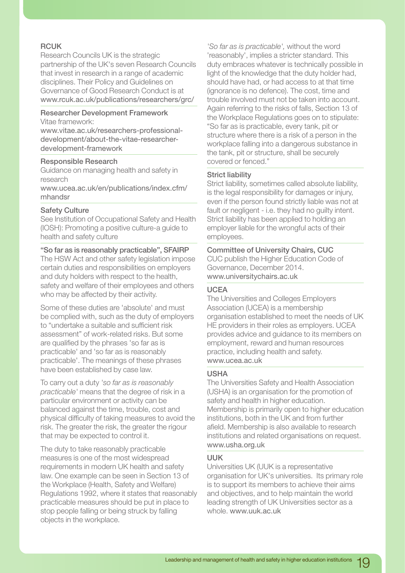### **RCUK**

Research Councils UK is the strategic partnership of the UK's seven Research Councils that invest in research in a range of academic disciplines. Their Policy and Guidelines on Governance of Good Research Conduct is at www.rcuk.ac.uk/publications/researchers/grc/

### **Researcher Development Framework**

Vitae framework:

www.vitae.ac.uk/researchers-professionaldevelopment/about-the-vitae-researcherdevelopment-framework

### **Responsible Research**

Guidance on managing health and safety in research

www.ucea.ac.uk/en/publications/index.cfm/ mhandsr

### **Safety Culture**

See Institution of Occupational Safety and Health (IOSH): Promoting a positive culture-a guide to health and safety culture

### **"So far as is reasonably practicable", SFAIRP**

The HSW Act and other safety legislation impose certain duties and responsibilities on employers and duty holders with respect to the health, safety and welfare of their employees and others who may be affected by their activity.

Some of these duties are 'absolute' and must be complied with, such as the duty of employers to "undertake a suitable and sufficient risk assessment" of work-related risks. But some are qualified by the phrases 'so far as is practicable' and 'so far as is reasonably practicable'. The meanings of these phrases have been established by case law.

To carry out a duty *'so far as is reasonably practicable'* means that the degree of risk in a particular environment or activity can be balanced against the time, trouble, cost and physical difficulty of taking measures to avoid the risk. The greater the risk, the greater the rigour that may be expected to control it.

The duty to take reasonably practicable measures is one of the most widespread requirements in modern UK health and safety law. One example can be seen in Section 13 of the Workplace (Health, Safety and Welfare) Regulations 1992, where it states that reasonably practicable measures should be put in place to stop people falling or being struck by falling objects in the workplace.

*'So far as is practicable',* without the word 'reasonably', implies a stricter standard. This duty embraces whatever is technically possible in light of the knowledge that the duty holder had, should have had, or had access to at that time (ignorance is no defence). The cost, time and trouble involved must not be taken into account. Again referring to the risks of falls, Section 13 of the Workplace Regulations goes on to stipulate: "So far as is practicable, every tank, pit or structure where there is a risk of a person in the workplace falling into a dangerous substance in the tank, pit or structure, shall be securely covered or fenced."

### **Strict liability**

Strict liability, sometimes called absolute liability, is the legal responsibility for damages or injury, even if the person found strictly liable was not at fault or negligent - i.e. they had no guilty intent. Strict liability has been applied to holding an employer liable for the wrongful acts of their employees.

**Committee of University Chairs, CUC** CUC publish the Higher Education Code of Governance, December 2014. www.universitychairs.ac.uk

### **UCEA**

The Universities and Colleges Employers Association (UCEA) is a membership organisation established to meet the needs of UK HE providers in their roles as employers. UCEA provides advice and guidance to its members on employment, reward and human resources practice, including health and safety. www.ucea.ac.uk

### **USHA**

The Universities Safety and Health Association (USHA) is an organisation for the promotion of safety and health in higher education. Membership is primarily open to higher education institutions, both in the UK and from further afield. Membership is also available to research institutions and related organisations on request. www.usha.org.uk

### **UUK**

Universities UK (UUK is a representative organisation for UK's universities. Its primary role is to support its members to achieve their aims and objectives, and to help maintain the world leading strength of UK Universities sector as a whole. www.uuk.ac.uk